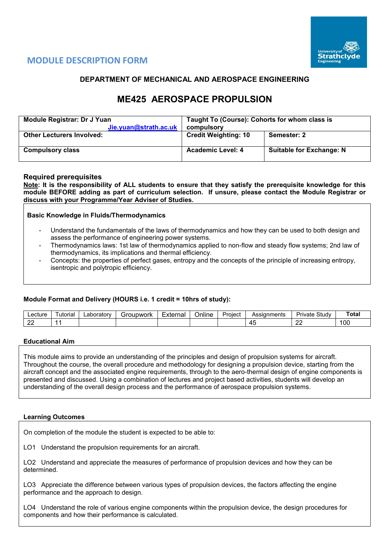

# **MODULE DESCRIPTION FORM**

# **DEPARTMENT OF MECHANICAL AND AEROSPACE ENGINEERING**

# **ME425 AEROSPACE PROPULSION**

| Module Registrar: Dr J Yuan<br>Jie.yuan@strath.ac.uk | Taught To (Course): Cohorts for whom class is<br>compulsory |                                 |  |  |  |  |
|------------------------------------------------------|-------------------------------------------------------------|---------------------------------|--|--|--|--|
| <b>Other Lecturers Involved:</b>                     | <b>Credit Weighting: 10</b>                                 | Semester: 2                     |  |  |  |  |
| <b>Compulsory class</b>                              | <b>Academic Level: 4</b>                                    | <b>Suitable for Exchange: N</b> |  |  |  |  |

# **Required prerequisites**

**Note: It is the responsibility of ALL students to ensure that they satisfy the prerequisite knowledge for this module BEFORE adding as part of curriculum selection. If unsure, please contact the Module Registrar or discuss with your Programme/Year Adviser of Studies.** 

**Basic Knowledge in Fluids/Thermodynamics**

- Understand the fundamentals of the laws of thermodynamics and how they can be used to both design and assess the performance of engineering power systems.
- Thermodynamics laws: 1st law of thermodynamics applied to non-flow and steady flow systems; 2nd law of thermodynamics, its implications and thermal efficiency.
- Concepts: the properties of perfect gases, entropy and the concepts of the principle of increasing entropy, isentropic and polytropic efficiency.

#### **Module Format and Delivery (HOURS i.e. 1 credit = 10hrs of study):**

| Lecture     | utorial | ∟aboratorv | Groupwork' | External | <br>⊃nlıne | Assignments<br>Proiect |           | - -<br>Study<br>Private | - -<br>Tota |
|-------------|---------|------------|------------|----------|------------|------------------------|-----------|-------------------------|-------------|
| $\sim$<br>∼ | -       |            |            |          |            |                        | ∕''<br>᠇֊ | or<br>--                | 100         |

#### **Educational Aim**

This module aims to provide an understanding of the principles and design of propulsion systems for aircraft. Throughout the course, the overall procedure and methodology for designing a propulsion device, starting from the aircraft concept and the associated engine requirements, through to the aero-thermal design of engine components is presented and discussed. Using a combination of lectures and project based activities, students will develop an understanding of the overall design process and the performance of aerospace propulsion systems.

#### **Learning Outcomes**

On completion of the module the student is expected to be able to:

LO1 Understand the propulsion requirements for an aircraft.

LO2 Understand and appreciate the measures of performance of propulsion devices and how they can be determined.

LO3 Appreciate the difference between various types of propulsion devices, the factors affecting the engine performance and the approach to design.

LO4 Understand the role of various engine components within the propulsion device, the design procedures for components and how their performance is calculated.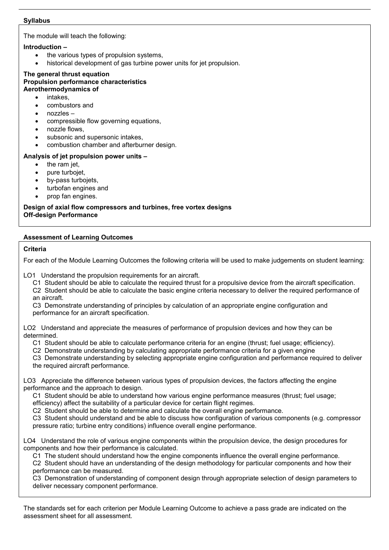## **Syllabus**

The module will teach the following:

# **Introduction –**

- the various types of propulsion systems.
- historical development of gas turbine power units for jet propulsion.

#### **The general thrust equation Propulsion performance characteristics Aerothermodynamics of**

- intakes.
- combustors and
- nozzles –
- compressible flow governing equations,
- nozzle flows,
- subsonic and supersonic intakes,
- combustion chamber and afterburner design.

# **Analysis of jet propulsion power units –**

- the ram jet,
- pure turbojet,
- by-pass turbojets,
- turbofan engines and
- prop fan engines.

# **Design of axial flow compressors and turbines, free vortex designs Off-design Performance**

# **Assessment of Learning Outcomes**

# **Criteria**

For each of the Module Learning Outcomes the following criteria will be used to make judgements on student learning:

LO1 Understand the propulsion requirements for an aircraft.

- C1 Student should be able to calculate the required thrust for a propulsive device from the aircraft specification.
- C2 Student should be able to calculate the basic engine criteria necessary to deliver the required performance of an aircraft.

C3 Demonstrate understanding of principles by calculation of an appropriate engine configuration and performance for an aircraft specification.

LO2 Understand and appreciate the measures of performance of propulsion devices and how they can be determined.

- C1 Student should be able to calculate performance criteria for an engine (thrust; fuel usage; efficiency).
- C2 Demonstrate understanding by calculating appropriate performance criteria for a given engine

C3 Demonstrate understanding by selecting appropriate engine configuration and performance required to deliver the required aircraft performance.

LO3 Appreciate the difference between various types of propulsion devices, the factors affecting the engine performance and the approach to design.

C1 Student should be able to understand how various engine performance measures (thrust; fuel usage; efficiency) affect the suitability of a particular device for certain flight regimes.

C2 Student should be able to determine and calculate the overall engine performance.

C3 Student should understand and be able to discuss how configuration of various components (e.g. compressor pressure ratio; turbine entry conditions) influence overall engine performance.

LO4 Understand the role of various engine components within the propulsion device, the design procedures for components and how their performance is calculated.

C1 The student should understand how the engine components influence the overall engine performance.

C2 Student should have an understanding of the design methodology for particular components and how their performance can be measured.

C3 Demonstration of understanding of component design through appropriate selection of design parameters to deliver necessary component performance.

The standards set for each criterion per Module Learning Outcome to achieve a pass grade are indicated on the assessment sheet for all assessment.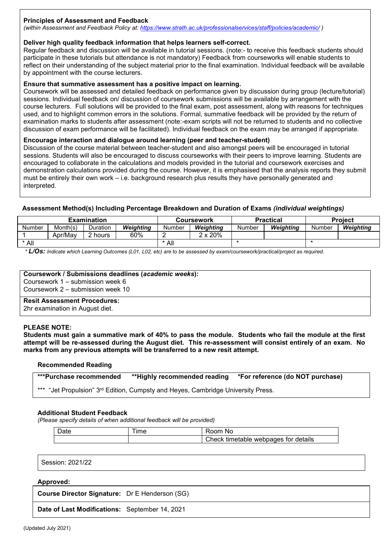# **Principles of Assessment and Feedback**

*(within Assessment and Feedback Policy at: <https://www.strath.ac.uk/professionalservices/staff/policies/academic/> )*

#### **Deliver high quality feedback information that helps learners self-correct.**

Regular feedback and discussion will be available in tutorial sessions. (note:- to receive this feedback students should participate in these tutorials but attendance is not mandatory) Feedback from courseworks will enable students to reflect on their understanding of the subject material prior to the final examination. Individual feedback will be available by appointment with the course lecturers.

#### **Ensure that summative assessment has a positive impact on learning.**

Coursework will be assessed and detailed feedback on performance given by discussion during group (lecture/tutorial) sessions. Individual feedback on/ discussion of coursework submissions will be available by arrangement with the course lecturers. Full solutions will be provided to the final exam, post assessment, along with reasons for techniques used, and to highlight common errors in the solutions. Formal, summative feedback will be provided by the return of examination marks to students after assessment (note:-exam scripts will not be returned to students and no collective discussion of exam performance will be facilitated). Individual feedback on the exam may be arranged if appropriate.

#### **Encourage interaction and dialogue around learning (peer and teacher-student)**

Discussion of the course material between teacher-student and also amongst peers will be encouraged in tutorial sessions. Students will also be encouraged to discuss courseworks with their peers to improve learning. Students are encouraged to collaborate in the calculations and models provided in the tutorial and coursework exercises and demonstration calculations provided during the course. However, it is emphasised that the analysis reports they submit must be entirely their own work – i.e. background research plus results they have personally generated and interpreted.

#### **Assessment Method(s) Including Percentage Breakdown and Duration of Exams** *(individual weightings)*

| <b>Examination</b> |          |          |           |        | Coursework      |        | <b>Practical</b> | <b>Project</b> |           |  |
|--------------------|----------|----------|-----------|--------|-----------------|--------|------------------|----------------|-----------|--|
| Number             | Month(s) | Duration | Weiahtina | Number | Weiahtina       | Number | Weiahtina        | Number         | Weiahtina |  |
|                    | Apr/Mav  | 2 hours  | 60%       |        | $2 \times 20\%$ |        |                  |                |           |  |
| * All              |          |          |           | * All  |                 |        |                  |                |           |  |

*\* L/Os: Indicate which Learning Outcomes (L01, L02, etc) are to be assessed by exam/coursework/practical/project as required.*

#### **Coursework / Submissions deadlines (***academic weeks***):**

Coursework 1 – submission week 6 Coursework 2 – submission week 10

#### **Resit Assessment Procedures:**

2hr examination in August diet.

#### **PLEASE NOTE:**

**Students must gain a summative mark of 40% to pass the module. Students who fail the module at the first attempt will be re-assessed during the August diet. This re-assessment will consist entirely of an exam. No marks from any previous attempts will be transferred to a new resit attempt.**

#### **Recommended Reading**

**\*\*\*Purchase recommended \*\*Highly recommended reading \*For reference (do NOT purchase)**

\*\*\* "Jet Propulsion" 3<sup>rd</sup> Edition, Cumpsty and Heyes, Cambridge University Press.

#### **Additional Student Feedback**

*(Please specify details of when additional feedback will be provided)*

| חate | ime | ∴nom∴<br>.No                           |
|------|-----|----------------------------------------|
|      |     | I Check timetable webpages for details |

Session: 2021/22

#### **Approved:**

**Course Director Signature:** Dr E Henderson (SG)

**Date of Last Modifications:** September 14, 2021